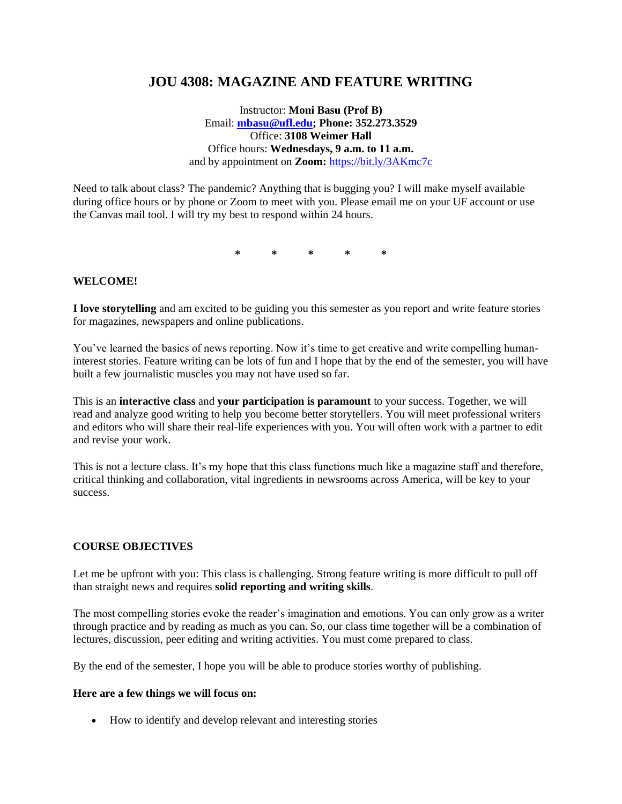# **JOU 4308: MAGAZINE AND FEATURE WRITING**

Instructor: **Moni Basu (Prof B)** Email: **[mbasu@ufl.edu;](mailto:mbasu@ufl.edu) Phone: 352.273.3529** Office: **3108 Weimer Hall** Office hours: **Wednesdays, 9 a.m. to 11 a.m.** and by appointment on **Zoom:** <https://bit.ly/3AKmc7c>

Need to talk about class? The pandemic? Anything that is bugging you? I will make myself available during office hours or by phone or Zoom to meet with you. Please email me on your UF account or use the Canvas mail tool. I will try my best to respond within 24 hours.

**\* \* \* \* \***

### **WELCOME!**

**I love storytelling** and am excited to be guiding you this semester as you report and write feature stories for magazines, newspapers and online publications.

You've learned the basics of news reporting. Now it's time to get creative and write compelling humaninterest stories. Feature writing can be lots of fun and I hope that by the end of the semester, you will have built a few journalistic muscles you may not have used so far.

This is an **interactive class** and **your participation is paramount** to your success. Together, we will read and analyze good writing to help you become better storytellers. You will meet professional writers and editors who will share their real-life experiences with you. You will often work with a partner to edit and revise your work.

This is not a lecture class. It's my hope that this class functions much like a magazine staff and therefore, critical thinking and collaboration, vital ingredients in newsrooms across America, will be key to your success.

## **COURSE OBJECTIVES**

Let me be upfront with you: This class is challenging. Strong feature writing is more difficult to pull off than straight news and requires **solid reporting and writing skills**.

The most compelling stories evoke the reader's imagination and emotions. You can only grow as a writer through practice and by reading as much as you can. So, our class time together will be a combination of lectures, discussion, peer editing and writing activities. You must come prepared to class.

By the end of the semester, I hope you will be able to produce stories worthy of publishing.

#### **Here are a few things we will focus on:**

• How to identify and develop relevant and interesting stories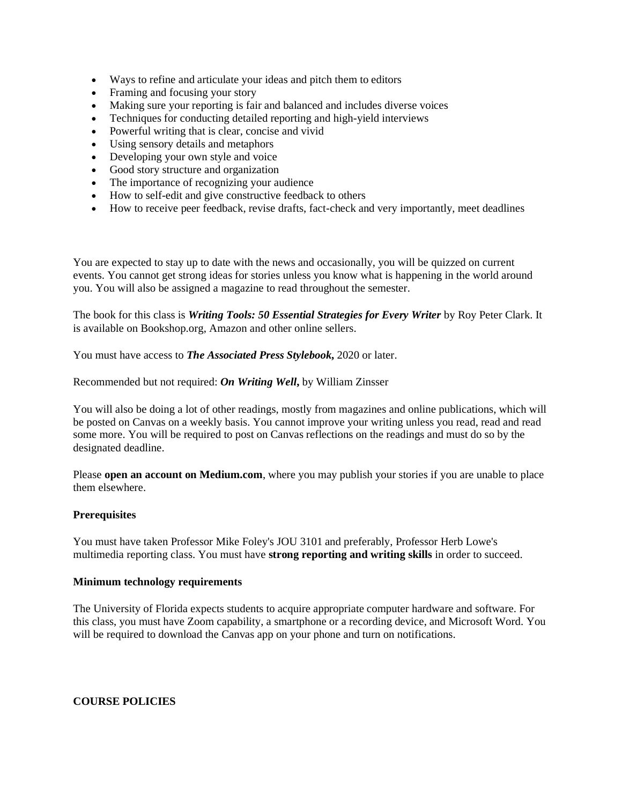- Ways to refine and articulate your ideas and pitch them to editors
- Framing and focusing your story
- Making sure your reporting is fair and balanced and includes diverse voices
- Techniques for conducting detailed reporting and high-yield interviews
- Powerful writing that is clear, concise and vivid
- Using sensory details and metaphors
- Developing your own style and voice
- Good story structure and organization
- The importance of recognizing your audience
- How to self-edit and give constructive feedback to others
- How to receive peer feedback, revise drafts, fact-check and very importantly, meet deadlines

You are expected to stay up to date with the news and occasionally, you will be quizzed on current events. You cannot get strong ideas for stories unless you know what is happening in the world around you. You will also be assigned a magazine to read throughout the semester.

The book for this class is *Writing Tools: 50 Essential Strategies for Every Writer* by Roy Peter Clark. It is available on Bookshop.org, Amazon and other online sellers.

You must have access to *The Associated Press Stylebook***,** 2020 or later.

Recommended but not required: *On Writing Well***,** by William Zinsser

You will also be doing a lot of other readings, mostly from magazines and online publications, which will be posted on Canvas on a weekly basis. You cannot improve your writing unless you read, read and read some more. You will be required to post on Canvas reflections on the readings and must do so by the designated deadline.

Please **open an account on Medium.com**, where you may publish your stories if you are unable to place them elsewhere.

#### **Prerequisites**

You must have taken Professor Mike Foley's JOU 3101 and preferably, Professor Herb Lowe's multimedia reporting class. You must have **strong reporting and writing skills** in order to succeed.

#### **Minimum technology requirements**

The University of Florida expects students to acquire appropriate computer hardware and software. For this class, you must have Zoom capability, a smartphone or a recording device, and Microsoft Word. You will be required to download the Canvas app on your phone and turn on notifications.

**COURSE POLICIES**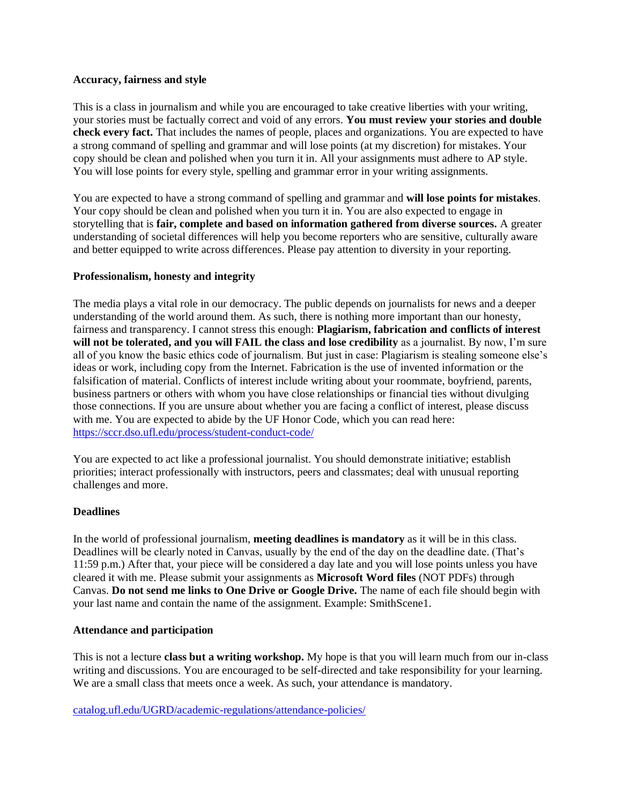### **Accuracy, fairness and style**

This is a class in journalism and while you are encouraged to take creative liberties with your writing, your stories must be factually correct and void of any errors. **You must review your stories and double check every fact.** That includes the names of people, places and organizations. You are expected to have a strong command of spelling and grammar and will lose points (at my discretion) for mistakes. Your copy should be clean and polished when you turn it in. All your assignments must adhere to AP style. You will lose points for every style, spelling and grammar error in your writing assignments.

You are expected to have a strong command of spelling and grammar and **will lose points for mistakes**. Your copy should be clean and polished when you turn it in. You are also expected to engage in storytelling that is **fair, complete and based on information gathered from diverse sources.** A greater understanding of societal differences will help you become reporters who are sensitive, culturally aware and better equipped to write across differences. Please pay attention to diversity in your reporting.

## **Professionalism, honesty and integrity**

The media plays a vital role in our democracy. The public depends on journalists for news and a deeper understanding of the world around them. As such, there is nothing more important than our honesty, fairness and transparency. I cannot stress this enough: **Plagiarism, fabrication and conflicts of interest**  will not be tolerated, and you will FAIL the class and lose credibility as a journalist. By now, I'm sure all of you know the basic ethics code of journalism. But just in case: Plagiarism is stealing someone else's ideas or work, including copy from the Internet. Fabrication is the use of invented information or the falsification of material. Conflicts of interest include writing about your roommate, boyfriend, parents, business partners or others with whom you have close relationships or financial ties without divulging those connections. If you are unsure about whether you are facing a conflict of interest, please discuss with me. You are expected to abide by the UF Honor Code, which you can read here: <https://sccr.dso.ufl.edu/process/student-conduct-code/>

You are expected to act like a professional journalist. You should demonstrate initiative; establish priorities; interact professionally with instructors, peers and classmates; deal with unusual reporting challenges and more.

## **Deadlines**

In the world of professional journalism, **meeting deadlines is mandatory** as it will be in this class. Deadlines will be clearly noted in Canvas, usually by the end of the day on the deadline date. (That's 11:59 p.m.) After that, your piece will be considered a day late and you will lose points unless you have cleared it with me. Please submit your assignments as **Microsoft Word files** (NOT PDFs) through Canvas. **Do not send me links to One Drive or Google Drive.** The name of each file should begin with your last name and contain the name of the assignment. Example: SmithScene1.

## **Attendance and participation**

This is not a lecture **class but a writing workshop.** My hope is that you will learn much from our in-class writing and discussions. You are encouraged to be self-directed and take responsibility for your learning. We are a small class that meets once a week. As such, your attendance is mandatory.

[catalog.ufl.edu/UGRD/academic-regulations/attendance-policies/](http://catalog.ufl.edu/UGRD/academic-regulations/attendance-policies/)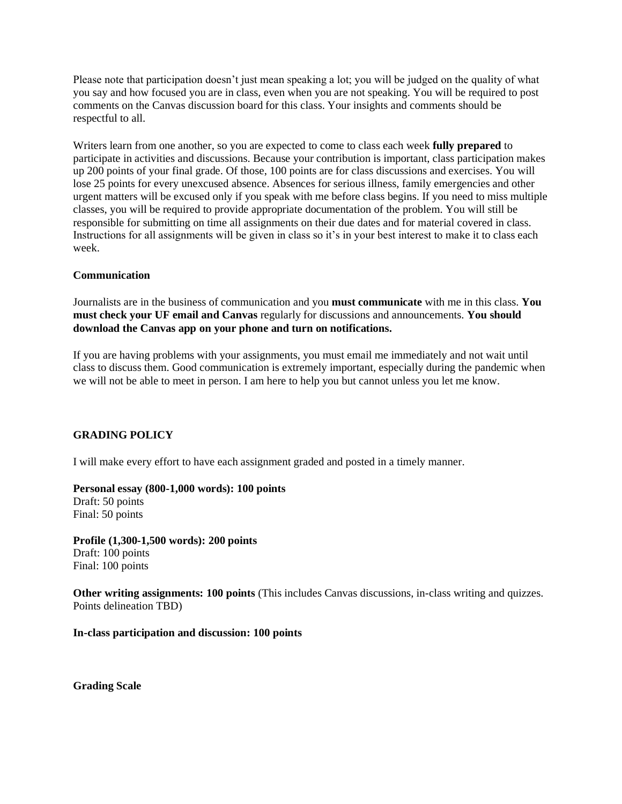Please note that participation doesn't just mean speaking a lot; you will be judged on the quality of what you say and how focused you are in class, even when you are not speaking. You will be required to post comments on the Canvas discussion board for this class. Your insights and comments should be respectful to all.

Writers learn from one another, so you are expected to come to class each week **fully prepared** to participate in activities and discussions. Because your contribution is important, class participation makes up 200 points of your final grade. Of those, 100 points are for class discussions and exercises. You will lose 25 points for every unexcused absence. Absences for serious illness, family emergencies and other urgent matters will be excused only if you speak with me before class begins. If you need to miss multiple classes, you will be required to provide appropriate documentation of the problem. You will still be responsible for submitting on time all assignments on their due dates and for material covered in class. Instructions for all assignments will be given in class so it's in your best interest to make it to class each week.

## **Communication**

Journalists are in the business of communication and you **must communicate** with me in this class. **You must check your UF email and Canvas** regularly for discussions and announcements. **You should download the Canvas app on your phone and turn on notifications.**

If you are having problems with your assignments, you must email me immediately and not wait until class to discuss them. Good communication is extremely important, especially during the pandemic when we will not be able to meet in person. I am here to help you but cannot unless you let me know.

## **GRADING POLICY**

I will make every effort to have each assignment graded and posted in a timely manner.

**Personal essay (800-1,000 words): 100 points** Draft: 50 points Final: 50 points

**Profile (1,300-1,500 words): 200 points** Draft: 100 points Final: 100 points

**Other writing assignments: 100 points** (This includes Canvas discussions, in-class writing and quizzes. Points delineation TBD)

**In-class participation and discussion: 100 points**

**Grading Scale**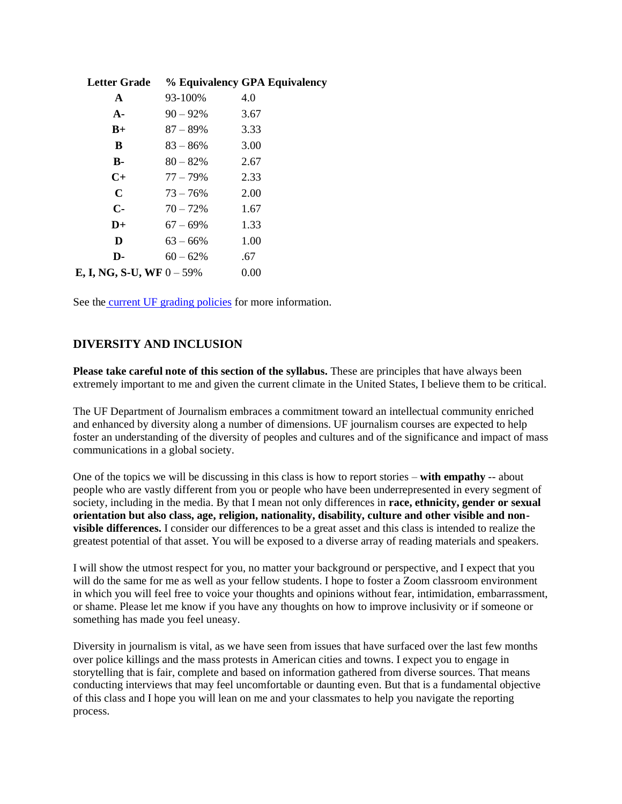| <b>Letter Grade</b>               |             | % Equivalency GPA Equivalency |
|-----------------------------------|-------------|-------------------------------|
| A                                 | 93-100%     | 4.0                           |
| $A -$                             | $90 - 92\%$ | 3.67                          |
| $B+$                              | $87 - 89\%$ | 3.33                          |
| B                                 | $83 - 86\%$ | 3.00                          |
| <b>B-</b>                         | $80 - 82\%$ | 2.67                          |
| $C+$                              | 77 – 79%    | 2.33                          |
| $\mathbf C$                       | $73 - 76\%$ | 2.00                          |
| $C-$                              | $70 - 72\%$ | 1.67                          |
| $D+$                              | $67 - 69\%$ | 1.33                          |
| D                                 | $63 - 66\%$ | 1.00                          |
| D-                                | $60 - 62\%$ | .67                           |
| <b>E, I, NG, S-U, WF</b> $0-59\%$ |             | 0.00                          |
|                                   |             |                               |

See the [current UF grading policies](https://catalog.ufl.edu/ugrad/current/regulations/info/grades.aspx) for more information.

## **DIVERSITY AND INCLUSION**

**Please take careful note of this section of the syllabus.** These are principles that have always been extremely important to me and given the current climate in the United States, I believe them to be critical.

The UF Department of Journalism embraces a commitment toward an intellectual community enriched and enhanced by diversity along a number of dimensions. UF journalism courses are expected to help foster an understanding of the diversity of peoples and cultures and of the significance and impact of mass communications in a global society.

One of the topics we will be discussing in this class is how to report stories – **with empathy** -- about people who are vastly different from you or people who have been underrepresented in every segment of society, including in the media. By that I mean not only differences in **race, ethnicity, gender or sexual orientation but also class, age, religion, nationality, disability, culture and other visible and nonvisible differences.** I consider our differences to be a great asset and this class is intended to realize the greatest potential of that asset. You will be exposed to a diverse array of reading materials and speakers.

I will show the utmost respect for you, no matter your background or perspective, and I expect that you will do the same for me as well as your fellow students. I hope to foster a Zoom classroom environment in which you will feel free to voice your thoughts and opinions without fear, intimidation, embarrassment, or shame. Please let me know if you have any thoughts on how to improve inclusivity or if someone or something has made you feel uneasy.

Diversity in journalism is vital, as we have seen from issues that have surfaced over the last few months over police killings and the mass protests in American cities and towns. I expect you to engage in storytelling that is fair, complete and based on information gathered from diverse sources. That means conducting interviews that may feel uncomfortable or daunting even. But that is a fundamental objective of this class and I hope you will lean on me and your classmates to help you navigate the reporting process.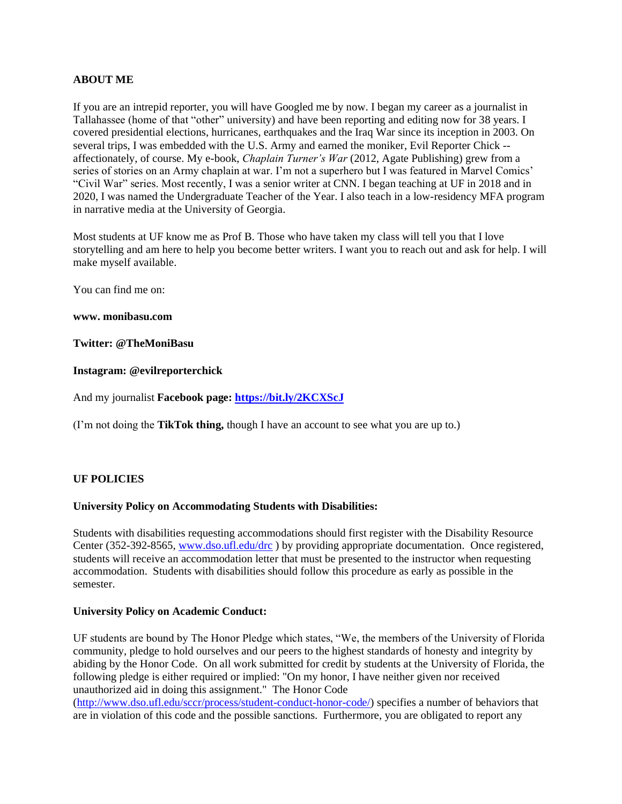### **ABOUT ME**

If you are an intrepid reporter, you will have Googled me by now. I began my career as a journalist in Tallahassee (home of that "other" university) and have been reporting and editing now for 38 years. I covered presidential elections, hurricanes, earthquakes and the Iraq War since its inception in 2003. On several trips, I was embedded with the U.S. Army and earned the moniker, Evil Reporter Chick - affectionately, of course. My e-book, *Chaplain Turner's War* (2012, Agate Publishing) grew from a series of stories on an Army chaplain at war. I'm not a superhero but I was featured in Marvel Comics' "Civil War" series. Most recently, I was a senior writer at CNN. I began teaching at UF in 2018 and in 2020, I was named the Undergraduate Teacher of the Year. I also teach in a low-residency MFA program in narrative media at the University of Georgia.

Most students at UF know me as Prof B. Those who have taken my class will tell you that I love storytelling and am here to help you become better writers. I want you to reach out and ask for help. I will make myself available.

You can find me on:

**www. monibasu.com**

**Twitter: @TheMoniBasu**

#### **Instagram: @evilreporterchick**

And my journalist **Facebook page:<https://bit.ly/2KCXScJ>**

(I'm not doing the **TikTok thing,** though I have an account to see what you are up to.)

#### **UF POLICIES**

#### **University Policy on Accommodating Students with Disabilities:**

Students with disabilities requesting accommodations should first register with the Disability Resource Center (352-392-8565[, www.dso.ufl.edu/drc](http://www.dso.ufl.edu/drc) ) by providing appropriate documentation. Once registered, students will receive an accommodation letter that must be presented to the instructor when requesting accommodation. Students with disabilities should follow this procedure as early as possible in the semester.

#### **University Policy on Academic Conduct:**

UF students are bound by The Honor Pledge which states, "We, the members of the University of Florida community, pledge to hold ourselves and our peers to the highest standards of honesty and integrity by abiding by the Honor Code. On all work submitted for credit by students at the University of Florida, the following pledge is either required or implied: "On my honor, I have neither given nor received unauthorized aid in doing this assignment." The Honor Code

[\(http://www.dso.ufl.edu/sccr/process/student-conduct-honor-code/\)](http://www.dso.ufl.edu/sccr/process/student-conduct-honor-code/) specifies a number of behaviors that are in violation of this code and the possible sanctions. Furthermore, you are obligated to report any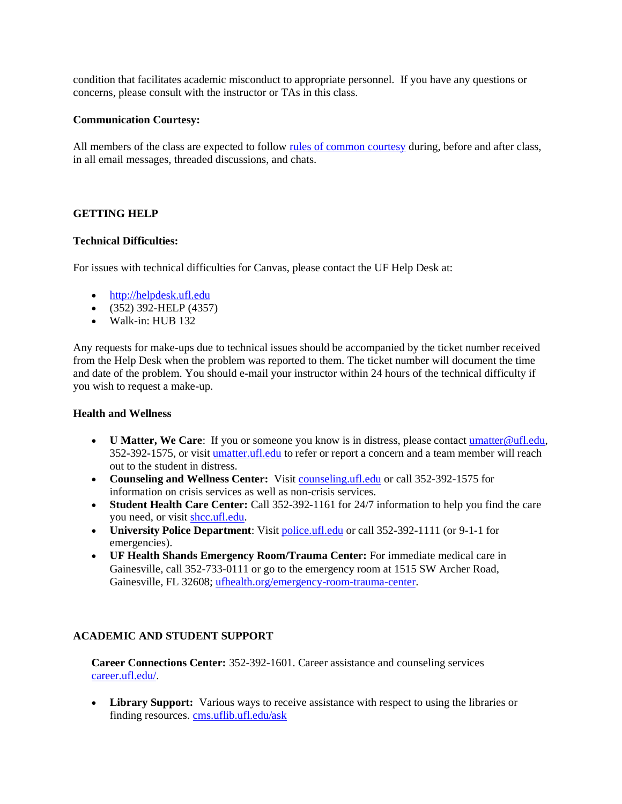condition that facilitates academic misconduct to appropriate personnel. If you have any questions or concerns, please consult with the instructor or TAs in this class.

### **Communication Courtesy:**

All members of the class are expected to follow [rules of common courtesy](http://teach.ufl.edu/wp-content/uploads/2012/08/NetiquetteGuideforOnlineCourses.pdf) during, before and after class, in all email messages, threaded discussions, and chats.

## **GETTING HELP**

### **Technical Difficulties:**

For issues with technical difficulties for Canvas, please contact the UF Help Desk at:

- [http://helpdesk.ufl.edu](http://helpdesk.ufl.edu/)
- $\bullet$  (352) 392-HELP (4357)
- Walk-in: HUB 132

Any requests for make-ups due to technical issues should be accompanied by the ticket number received from the Help Desk when the problem was reported to them. The ticket number will document the time and date of the problem. You should e-mail your instructor within 24 hours of the technical difficulty if you wish to request a make-up.

## **Health and Wellness**

- **U Matter, We Care**: If you or someone you know is in distress, please contact umatter @ufl.edu, 352-392-1575, or visit [umatter.ufl.edu](http://umatter.ufl.edu/) to refer or report a concern and a team member will reach out to the student in distress.
- **Counseling and Wellness Center:** Visit [counseling.ufl.edu](http://counseling.ufl.edu/) or call 352-392-1575 for information on crisis services as well as non-crisis services.
- **Student Health Care Center:** Call 352-392-1161 for 24/7 information to help you find the care you need, or visit [shcc.ufl.edu.](http://shcc.ufl.edu/)
- **University Police Department**: Visit [police.ufl.edu](http://police.ufl.edu/) or call 352-392-1111 (or 9-1-1 for emergencies).
- **UF Health Shands Emergency Room/Trauma Center:** For immediate medical care in Gainesville, call 352-733-0111 or go to the emergency room at 1515 SW Archer Road, Gainesville, FL 32608; [ufhealth.org/emergency-room-trauma-center.](http://ufhealth.org/emergency-room-trauma-center)

## **ACADEMIC AND STUDENT SUPPORT**

**Career Connections Center:** 352-392-1601. Career assistance and counseling services [career.ufl.edu/.](http://career.ufl.edu/)

• **Library Support:** Various ways to receive assistance with respect to using the libraries or finding resources[. cms.uflib.ufl.edu/ask](http://cms.uflib.ufl.edu/ask)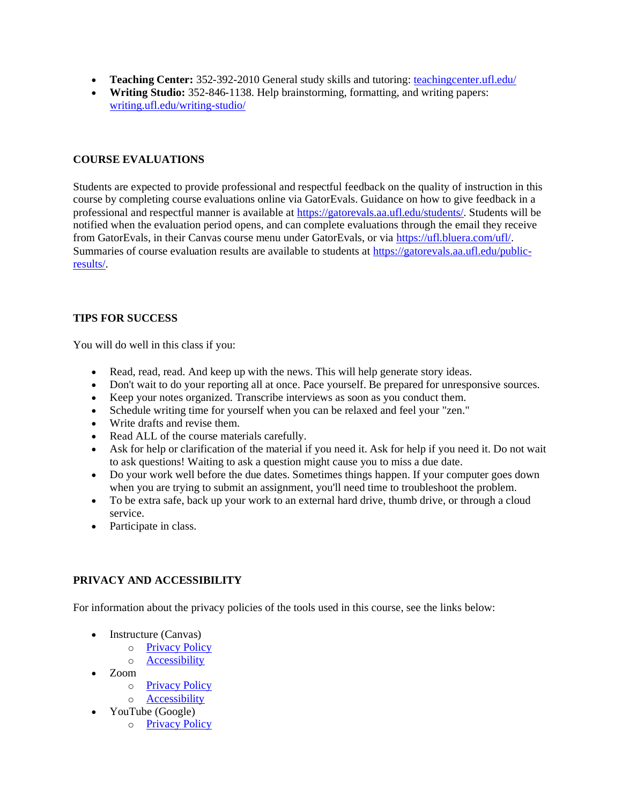- **Teaching Center:** 352-392-2010 General study skills and tutoring: [teachingcenter.ufl.edu/](http://teachingcenter.ufl.edu/)
- **Writing Studio:** 352-846-1138. Help brainstorming, formatting, and writing papers: [writing.ufl.edu/writing-studio/](http://writing.ufl.edu/writing-studio/)

## **COURSE EVALUATIONS**

Students are expected to provide professional and respectful feedback on the quality of instruction in this course by completing course evaluations online via GatorEvals. Guidance on how to give feedback in a professional and respectful manner is available at [https://gatorevals.aa.ufl.edu/students/.](https://gatorevals.aa.ufl.edu/students/) Students will be notified when the evaluation period opens, and can complete evaluations through the email they receive from GatorEvals, in their Canvas course menu under GatorEvals, or via [https://ufl.bluera.com/ufl/.](https://urldefense.proofpoint.com/v2/url?u=https-3A__ufl.bluera.com_ufl_&d=DwMFAg&c=sJ6xIWYx-zLMB3EPkvcnVg&r=y2HjEMjRMHJhfdvLrqJZlYczRsfp5e4TfQjHuc5rVHg&m=WXko6OK_Ha6T00ZVAsEaSh99qRXHOgMNFRywCoehRho&s=itVU46DDJjnIg4CW6efJOOLgPjdzsPvCghyfzJoFONs&e=) Summaries of course evaluation results are available to students at [https://gatorevals.aa.ufl.edu/public](https://gatorevals.aa.ufl.edu/public-results/)[results/.](https://gatorevals.aa.ufl.edu/public-results/)

## **TIPS FOR SUCCESS**

You will do well in this class if you:

- Read, read, read. And keep up with the news. This will help generate story ideas.
- Don't wait to do your reporting all at once. Pace yourself. Be prepared for unresponsive sources.
- Keep your notes organized. Transcribe interviews as soon as you conduct them.
- Schedule writing time for yourself when you can be relaxed and feel your "zen."
- Write drafts and revise them.
- Read ALL of the course materials carefully.
- Ask for help or clarification of the material if you need it. Ask for help if you need it. Do not wait to ask questions! Waiting to ask a question might cause you to miss a due date.
- Do your work well before the due dates. Sometimes things happen. If your computer goes down when you are trying to submit an assignment, you'll need time to troubleshoot the problem.
- To be extra safe, back up your work to an external hard drive, thumb drive, or through a cloud service.
- Participate in class.

## **PRIVACY AND ACCESSIBILITY**

For information about the privacy policies of the tools used in this course, see the links below:

- Instructure (Canvas)
	- o [Privacy Policy](https://www.instructure.com/policies/privacy)
	- o [Accessibility](https://www.instructure.com/canvas/accessibility)
- Zoom
	- o [Privacy Policy](https://zoom.us/privacy)
	- o [Accessibility](https://zoom.us/accessibility)
- YouTube (Google)
	- o [Privacy Policy](https://policies.google.com/privacy)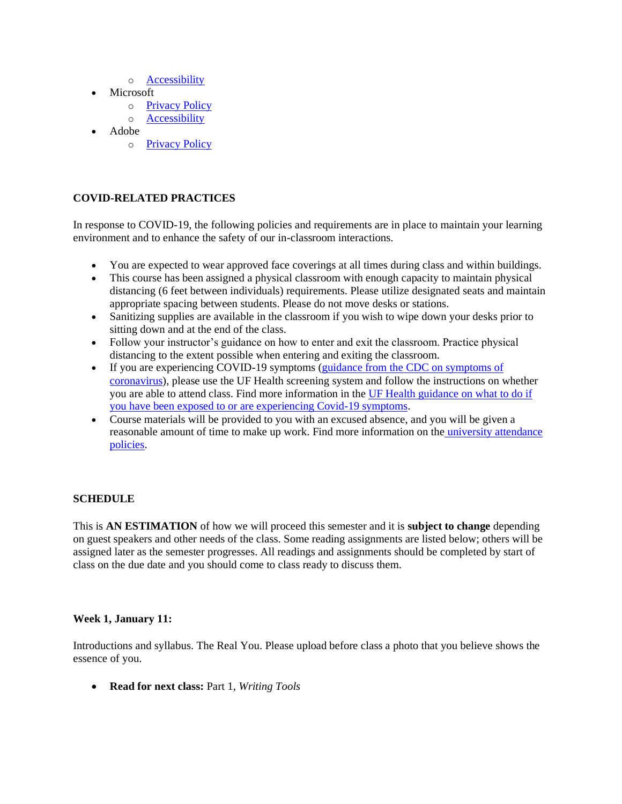- o [Accessibility](https://support.google.com/youtube/answer/189278?hl=en)
- Microsoft
	- o [Privacy Policy](https://privacy.microsoft.com/en-us/privacystatement)
	- o [Accessibility](https://www.microsoft.com/en-us/accessibility/office?activetab=pivot_1%3aprimaryr2)
- Adobe
	- o [Privacy Policy](https://www.adobe.com/privacy/policy.html)

## **COVID-RELATED PRACTICES**

In response to COVID-19, the following policies and requirements are in place to maintain your learning environment and to enhance the safety of our in-classroom interactions.

- You are expected to wear approved face coverings at all times during class and within buildings.
- This course has been assigned a physical classroom with enough capacity to maintain physical distancing (6 feet between individuals) requirements. Please utilize designated seats and maintain appropriate spacing between students. Please do not move desks or stations.
- Sanitizing supplies are available in the classroom if you wish to wipe down your desks prior to sitting down and at the end of the class.
- Follow your instructor's guidance on how to enter and exit the classroom. Practice physical distancing to the extent possible when entering and exiting the classroom.
- If you are experiencing COVID-19 symptoms (guidance from the CDC on symptoms of [coronavirus\)](https://www.cdc.gov/coronavirus/2019-ncov/symptoms-testing/symptoms.html), please use the UF Health screening system and follow the instructions on whether you are able to attend class. Find more information in the [UF Health guidance on](https://coronavirus.ufhealth.org/screen-test-protect/covid-19-exposure-and-symptoms-who-do-i-call-if/) what to do if [you have been exposed to or are experiencing Covid-19 symptoms.](https://coronavirus.ufhealth.org/screen-test-protect/covid-19-exposure-and-symptoms-who-do-i-call-if/)
- Course materials will be provided to you with an excused absence, and you will be given a reasonable amount of time to make up work. Find more information on the [university attendance](https://catalog.ufl.edu/UGRD/academic-regulations/attendance-policies/)  [policies.](https://catalog.ufl.edu/UGRD/academic-regulations/attendance-policies/)

## **SCHEDULE**

This is **AN ESTIMATION** of how we will proceed this semester and it is **subject to change** depending on guest speakers and other needs of the class. Some reading assignments are listed below; others will be assigned later as the semester progresses. All readings and assignments should be completed by start of class on the due date and you should come to class ready to discuss them.

## **Week 1, January 11:**

Introductions and syllabus. The Real You. Please upload before class a photo that you believe shows the essence of you.

• **Read for next class:** Part 1, *Writing Tools*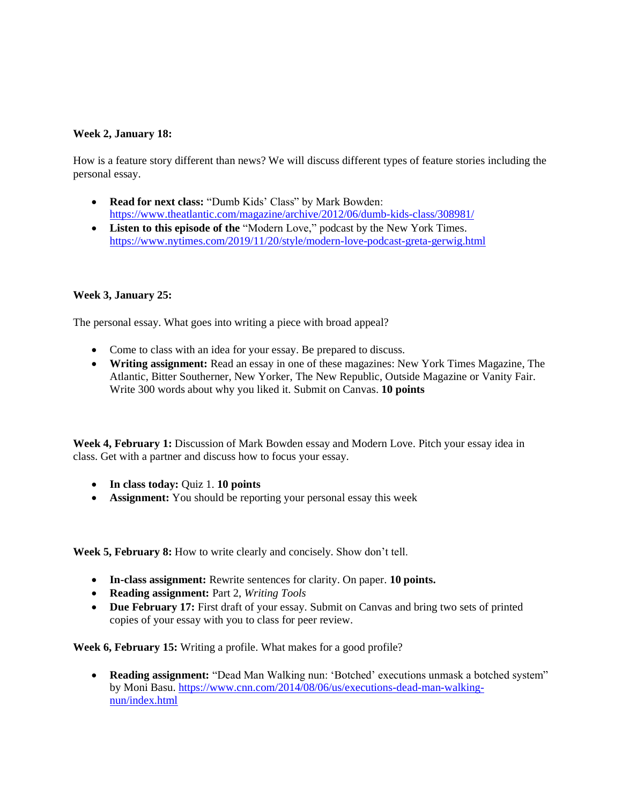## **Week 2, January 18:**

How is a feature story different than news? We will discuss different types of feature stories including the personal essay.

- **Read for next class:** "Dumb Kids' Class" by Mark Bowden: <https://www.theatlantic.com/magazine/archive/2012/06/dumb-kids-class/308981/>
- **Listen to this episode of the** "Modern Love," podcast by the New York Times. <https://www.nytimes.com/2019/11/20/style/modern-love-podcast-greta-gerwig.html>

## **Week 3, January 25:**

The personal essay. What goes into writing a piece with broad appeal?

- Come to class with an idea for your essay. Be prepared to discuss.
- **Writing assignment:** Read an essay in one of these magazines: New York Times Magazine, The Atlantic, Bitter Southerner, New Yorker, The New Republic, Outside Magazine or Vanity Fair. Write 300 words about why you liked it. Submit on Canvas. **10 points**

**Week 4, February 1:** Discussion of Mark Bowden essay and Modern Love. Pitch your essay idea in class. Get with a partner and discuss how to focus your essay.

- **In class today:** Quiz 1. **10 points**
- **Assignment:** You should be reporting your personal essay this week

**Week 5, February 8:** How to write clearly and concisely. Show don't tell.

- **In-class assignment:** Rewrite sentences for clarity. On paper. **10 points.**
- **Reading assignment:** Part 2, *Writing Tools*
- **Due February 17:** First draft of your essay. Submit on Canvas and bring two sets of printed copies of your essay with you to class for peer review.

**Week 6, February 15:** Writing a profile. What makes for a good profile?

• **Reading assignment:** "Dead Man Walking nun: 'Botched' executions unmask a botched system" by Moni Basu. [https://www.cnn.com/2014/08/06/us/executions-dead-man-walking](https://www.cnn.com/2014/08/06/us/executions-dead-man-walking-nun/index.html)[nun/index.html](https://www.cnn.com/2014/08/06/us/executions-dead-man-walking-nun/index.html)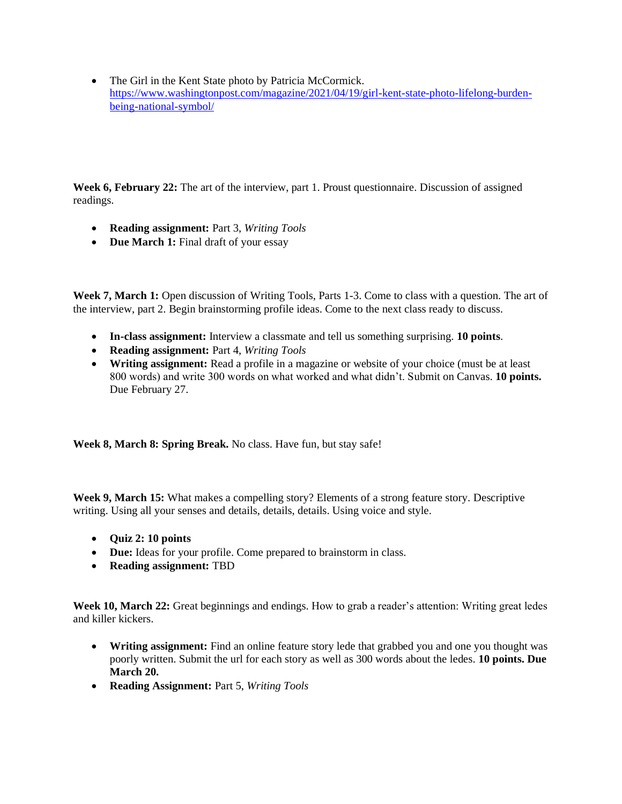• The Girl in the Kent State photo by Patricia McCormick. [https://www.washingtonpost.com/magazine/2021/04/19/girl-kent-state-photo-lifelong-burden](https://www.washingtonpost.com/magazine/2021/04/19/girl-kent-state-photo-lifelong-burden-being-national-symbol/)[being-national-symbol/](https://www.washingtonpost.com/magazine/2021/04/19/girl-kent-state-photo-lifelong-burden-being-national-symbol/)

**Week 6, February 22:** The art of the interview, part 1. Proust questionnaire. Discussion of assigned readings.

- **Reading assignment:** Part 3, *Writing Tools*
- **Due March 1:** Final draft of your essay

**Week 7, March 1:** Open discussion of Writing Tools, Parts 1-3. Come to class with a question. The art of the interview, part 2. Begin brainstorming profile ideas. Come to the next class ready to discuss.

- **In-class assignment:** Interview a classmate and tell us something surprising. **10 points**.
- **Reading assignment:** Part 4, *Writing Tools*
- **Writing assignment:** Read a profile in a magazine or website of your choice (must be at least 800 words) and write 300 words on what worked and what didn't. Submit on Canvas. **10 points.** Due February 27.

**Week 8, March 8: Spring Break.** No class. Have fun, but stay safe!

**Week 9, March 15:** What makes a compelling story? Elements of a strong feature story. Descriptive writing. Using all your senses and details, details, details. Using voice and style.

- **Quiz 2: 10 points**
- **Due:** Ideas for your profile. Come prepared to brainstorm in class.
- **Reading assignment:** TBD

**Week 10, March 22:** Great beginnings and endings. How to grab a reader's attention: Writing great ledes and killer kickers.

- **Writing assignment:** Find an online feature story lede that grabbed you and one you thought was poorly written. Submit the url for each story as well as 300 words about the ledes. **10 points. Due March 20.**
- **Reading Assignment:** Part 5, *Writing Tools*